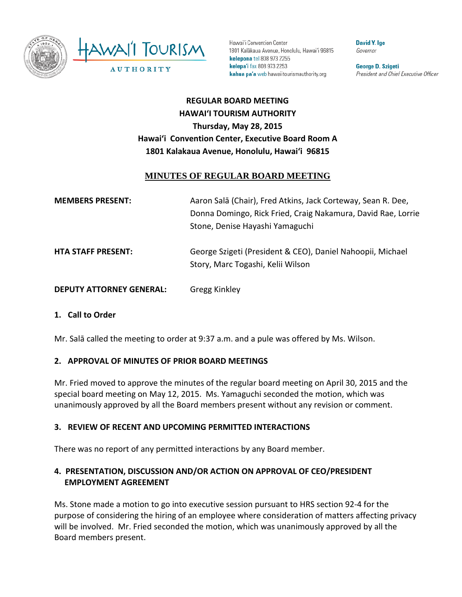

Hawai'i Convention Center 1801 Kalākaua Avenue, Honolulu, Hawai'i 96815 kelepona tel 808 973 2255 kelepa'i fax 808 973 2253 kahua pa'a web hawaiitourismauthority.org

**David Y. Ige** Governor

George D. Szigeti President and Chief Executive Officer

# **REGULAR BOARD MEETING HAWAI'I TOURISM AUTHORITY Thursday, May 28, 2015 Hawai'i Convention Center, Executive Board Room A 1801 Kalakaua Avenue, Honolulu, Hawai'i 96815**

### **MINUTES OF REGULAR BOARD MEETING**

| <b>MEMBERS PRESENT:</b>         | Aaron Salā (Chair), Fred Atkins, Jack Corteway, Sean R. Dee,<br>Donna Domingo, Rick Fried, Craig Nakamura, David Rae, Lorrie<br>Stone, Denise Hayashi Yamaguchi |
|---------------------------------|-----------------------------------------------------------------------------------------------------------------------------------------------------------------|
| <b>HTA STAFF PRESENT:</b>       | George Szigeti (President & CEO), Daniel Nahoopii, Michael<br>Story, Marc Togashi, Kelii Wilson                                                                 |
| <b>DEPUTY ATTORNEY GENERAL:</b> | <b>Gregg Kinkley</b>                                                                                                                                            |

#### **1. Call to Order**

Mr. Salā called the meeting to order at 9:37 a.m. and a pule was offered by Ms. Wilson.

#### **2. APPROVAL OF MINUTES OF PRIOR BOARD MEETINGS**

Mr. Fried moved to approve the minutes of the regular board meeting on April 30, 2015 and the special board meeting on May 12, 2015. Ms. Yamaguchi seconded the motion, which was unanimously approved by all the Board members present without any revision or comment.

#### **3. REVIEW OF RECENT AND UPCOMING PERMITTED INTERACTIONS**

There was no report of any permitted interactions by any Board member.

### **4. PRESENTATION, DISCUSSION AND/OR ACTION ON APPROVAL OF CEO/PRESIDENT EMPLOYMENT AGREEMENT**

Ms. Stone made a motion to go into executive session pursuant to HRS section 92-4 for the purpose of considering the hiring of an employee where consideration of matters affecting privacy will be involved. Mr. Fried seconded the motion, which was unanimously approved by all the Board members present.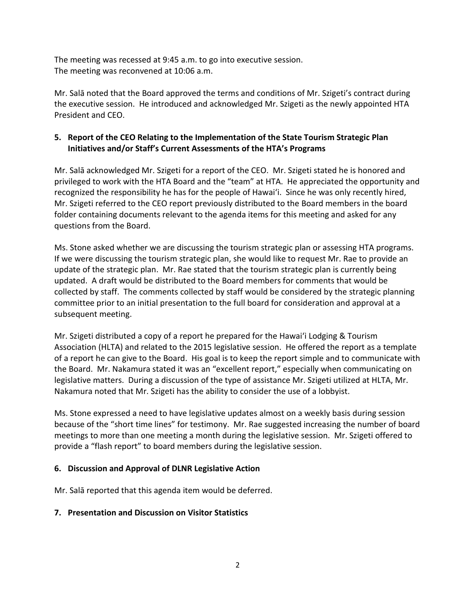The meeting was recessed at 9:45 a.m. to go into executive session. The meeting was reconvened at 10:06 a.m.

Mr. Salā noted that the Board approved the terms and conditions of Mr. Szigeti's contract during the executive session. He introduced and acknowledged Mr. Szigeti as the newly appointed HTA President and CEO.

# **5. Report of the CEO Relating to the Implementation of the State Tourism Strategic Plan Initiatives and/or Staff's Current Assessments of the HTA's Programs**

Mr. Salā acknowledged Mr. Szigeti for a report of the CEO. Mr. Szigeti stated he is honored and privileged to work with the HTA Board and the "team" at HTA. He appreciated the opportunity and recognized the responsibility he has for the people of Hawai'i. Since he was only recently hired, Mr. Szigeti referred to the CEO report previously distributed to the Board members in the board folder containing documents relevant to the agenda items for this meeting and asked for any questions from the Board.

Ms. Stone asked whether we are discussing the tourism strategic plan or assessing HTA programs. If we were discussing the tourism strategic plan, she would like to request Mr. Rae to provide an update of the strategic plan. Mr. Rae stated that the tourism strategic plan is currently being updated. A draft would be distributed to the Board members for comments that would be collected by staff. The comments collected by staff would be considered by the strategic planning committee prior to an initial presentation to the full board for consideration and approval at a subsequent meeting.

Mr. Szigeti distributed a copy of a report he prepared for the Hawai'i Lodging & Tourism Association (HLTA) and related to the 2015 legislative session. He offered the report as a template of a report he can give to the Board. His goal is to keep the report simple and to communicate with the Board. Mr. Nakamura stated it was an "excellent report," especially when communicating on legislative matters. During a discussion of the type of assistance Mr. Szigeti utilized at HLTA, Mr. Nakamura noted that Mr. Szigeti has the ability to consider the use of a lobbyist.

Ms. Stone expressed a need to have legislative updates almost on a weekly basis during session because of the "short time lines" for testimony. Mr. Rae suggested increasing the number of board meetings to more than one meeting a month during the legislative session. Mr. Szigeti offered to provide a "flash report" to board members during the legislative session.

# **6. Discussion and Approval of DLNR Legislative Action**

Mr. Salā reported that this agenda item would be deferred.

#### **7. Presentation and Discussion on Visitor Statistics**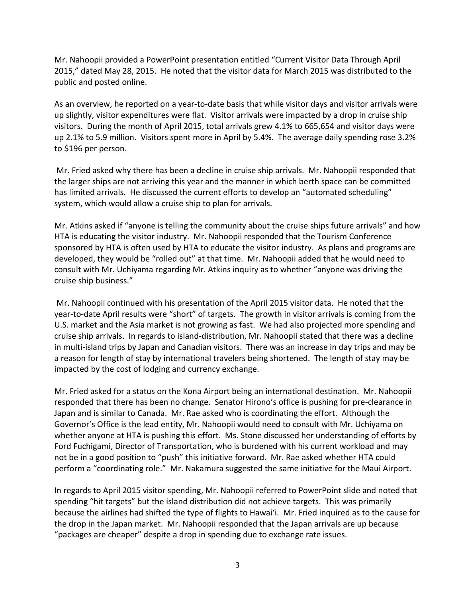Mr. Nahoopii provided a PowerPoint presentation entitled "Current Visitor Data Through April 2015," dated May 28, 2015. He noted that the visitor data for March 2015 was distributed to the public and posted online.

As an overview, he reported on a year-to-date basis that while visitor days and visitor arrivals were up slightly, visitor expenditures were flat. Visitor arrivals were impacted by a drop in cruise ship visitors. During the month of April 2015, total arrivals grew 4.1% to 665,654 and visitor days were up 2.1% to 5.9 million. Visitors spent more in April by 5.4%. The average daily spending rose 3.2% to \$196 per person.

Mr. Fried asked why there has been a decline in cruise ship arrivals. Mr. Nahoopii responded that the larger ships are not arriving this year and the manner in which berth space can be committed has limited arrivals. He discussed the current efforts to develop an "automated scheduling" system, which would allow a cruise ship to plan for arrivals.

Mr. Atkins asked if "anyone is telling the community about the cruise ships future arrivals" and how HTA is educating the visitor industry. Mr. Nahoopii responded that the Tourism Conference sponsored by HTA is often used by HTA to educate the visitor industry. As plans and programs are developed, they would be "rolled out" at that time. Mr. Nahoopii added that he would need to consult with Mr. Uchiyama regarding Mr. Atkins inquiry as to whether "anyone was driving the cruise ship business."

Mr. Nahoopii continued with his presentation of the April 2015 visitor data. He noted that the year-to-date April results were "short" of targets. The growth in visitor arrivals is coming from the U.S. market and the Asia market is not growing as fast. We had also projected more spending and cruise ship arrivals. In regards to island-distribution, Mr. Nahoopii stated that there was a decline in multi-island trips by Japan and Canadian visitors. There was an increase in day trips and may be a reason for length of stay by international travelers being shortened. The length of stay may be impacted by the cost of lodging and currency exchange.

Mr. Fried asked for a status on the Kona Airport being an international destination. Mr. Nahoopii responded that there has been no change. Senator Hirono's office is pushing for pre-clearance in Japan and is similar to Canada. Mr. Rae asked who is coordinating the effort. Although the Governor's Office is the lead entity, Mr. Nahoopii would need to consult with Mr. Uchiyama on whether anyone at HTA is pushing this effort. Ms. Stone discussed her understanding of efforts by Ford Fuchigami, Director of Transportation, who is burdened with his current workload and may not be in a good position to "push" this initiative forward. Mr. Rae asked whether HTA could perform a "coordinating role." Mr. Nakamura suggested the same initiative for the Maui Airport.

In regards to April 2015 visitor spending, Mr. Nahoopii referred to PowerPoint slide and noted that spending "hit targets" but the island distribution did not achieve targets. This was primarily because the airlines had shifted the type of flights to Hawai'i. Mr. Fried inquired as to the cause for the drop in the Japan market. Mr. Nahoopii responded that the Japan arrivals are up because "packages are cheaper" despite a drop in spending due to exchange rate issues.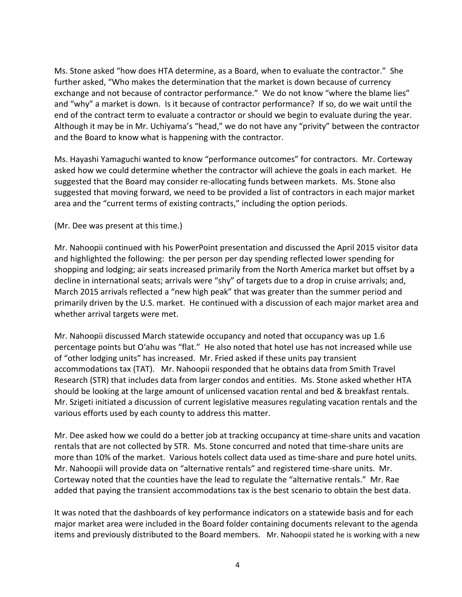Ms. Stone asked "how does HTA determine, as a Board, when to evaluate the contractor." She further asked, "Who makes the determination that the market is down because of currency exchange and not because of contractor performance." We do not know "where the blame lies" and "why" a market is down. Is it because of contractor performance? If so, do we wait until the end of the contract term to evaluate a contractor or should we begin to evaluate during the year. Although it may be in Mr. Uchiyama's "head," we do not have any "privity" between the contractor and the Board to know what is happening with the contractor.

Ms. Hayashi Yamaguchi wanted to know "performance outcomes" for contractors. Mr. Corteway asked how we could determine whether the contractor will achieve the goals in each market. He suggested that the Board may consider re-allocating funds between markets. Ms. Stone also suggested that moving forward, we need to be provided a list of contractors in each major market area and the "current terms of existing contracts," including the option periods.

(Mr. Dee was present at this time.)

Mr. Nahoopii continued with his PowerPoint presentation and discussed the April 2015 visitor data and highlighted the following: the per person per day spending reflected lower spending for shopping and lodging; air seats increased primarily from the North America market but offset by a decline in international seats; arrivals were "shy" of targets due to a drop in cruise arrivals; and, March 2015 arrivals reflected a "new high peak" that was greater than the summer period and primarily driven by the U.S. market. He continued with a discussion of each major market area and whether arrival targets were met.

Mr. Nahoopii discussed March statewide occupancy and noted that occupancy was up 1.6 percentage points but O'ahu was "flat." He also noted that hotel use has not increased while use of "other lodging units" has increased. Mr. Fried asked if these units pay transient accommodations tax (TAT). Mr. Nahoopii responded that he obtains data from Smith Travel Research (STR) that includes data from larger condos and entities. Ms. Stone asked whether HTA should be looking at the large amount of unlicensed vacation rental and bed & breakfast rentals. Mr. Szigeti initiated a discussion of current legislative measures regulating vacation rentals and the various efforts used by each county to address this matter.

Mr. Dee asked how we could do a better job at tracking occupancy at time-share units and vacation rentals that are not collected by STR. Ms. Stone concurred and noted that time-share units are more than 10% of the market. Various hotels collect data used as time-share and pure hotel units. Mr. Nahoopii will provide data on "alternative rentals" and registered time-share units. Mr. Corteway noted that the counties have the lead to regulate the "alternative rentals." Mr. Rae added that paying the transient accommodations tax is the best scenario to obtain the best data.

It was noted that the dashboards of key performance indicators on a statewide basis and for each major market area were included in the Board folder containing documents relevant to the agenda items and previously distributed to the Board members. Mr. Nahoopii stated he is working with a new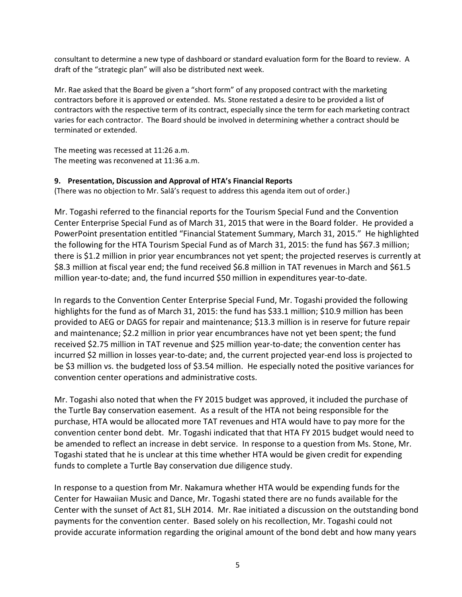consultant to determine a new type of dashboard or standard evaluation form for the Board to review. A draft of the "strategic plan" will also be distributed next week.

Mr. Rae asked that the Board be given a "short form" of any proposed contract with the marketing contractors before it is approved or extended. Ms. Stone restated a desire to be provided a list of contractors with the respective term of its contract, especially since the term for each marketing contract varies for each contractor. The Board should be involved in determining whether a contract should be terminated or extended.

The meeting was recessed at 11:26 a.m. The meeting was reconvened at 11:36 a.m.

#### **9. Presentation, Discussion and Approval of HTA's Financial Reports**

(There was no objection to Mr. Salā's request to address this agenda item out of order.)

Mr. Togashi referred to the financial reports for the Tourism Special Fund and the Convention Center Enterprise Special Fund as of March 31, 2015 that were in the Board folder. He provided a PowerPoint presentation entitled "Financial Statement Summary, March 31, 2015." He highlighted the following for the HTA Tourism Special Fund as of March 31, 2015: the fund has \$67.3 million; there is \$1.2 million in prior year encumbrances not yet spent; the projected reserves is currently at \$8.3 million at fiscal year end; the fund received \$6.8 million in TAT revenues in March and \$61.5 million year-to-date; and, the fund incurred \$50 million in expenditures year-to-date.

In regards to the Convention Center Enterprise Special Fund, Mr. Togashi provided the following highlights for the fund as of March 31, 2015: the fund has \$33.1 million; \$10.9 million has been provided to AEG or DAGS for repair and maintenance; \$13.3 million is in reserve for future repair and maintenance; \$2.2 million in prior year encumbrances have not yet been spent; the fund received \$2.75 million in TAT revenue and \$25 million year-to-date; the convention center has incurred \$2 million in losses year-to-date; and, the current projected year-end loss is projected to be \$3 million vs. the budgeted loss of \$3.54 million. He especially noted the positive variances for convention center operations and administrative costs.

Mr. Togashi also noted that when the FY 2015 budget was approved, it included the purchase of the Turtle Bay conservation easement. As a result of the HTA not being responsible for the purchase, HTA would be allocated more TAT revenues and HTA would have to pay more for the convention center bond debt. Mr. Togashi indicated that that HTA FY 2015 budget would need to be amended to reflect an increase in debt service. In response to a question from Ms. Stone, Mr. Togashi stated that he is unclear at this time whether HTA would be given credit for expending funds to complete a Turtle Bay conservation due diligence study.

In response to a question from Mr. Nakamura whether HTA would be expending funds for the Center for Hawaiian Music and Dance, Mr. Togashi stated there are no funds available for the Center with the sunset of Act 81, SLH 2014. Mr. Rae initiated a discussion on the outstanding bond payments for the convention center. Based solely on his recollection, Mr. Togashi could not provide accurate information regarding the original amount of the bond debt and how many years